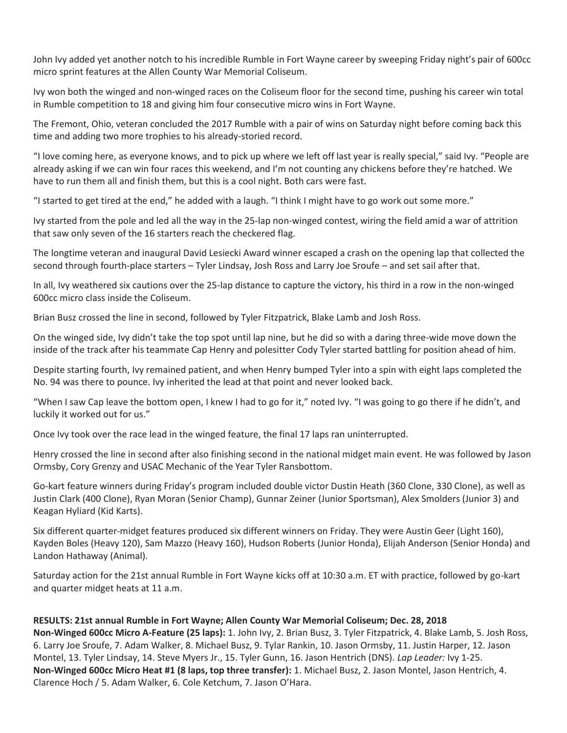John Ivy added yet another notch to his incredible Rumble in Fort Wayne career by sweeping Friday night's pair of 600cc micro sprint features at the Allen County War Memorial Coliseum.

Ivy won both the winged and non-winged races on the Coliseum floor for the second time, pushing his career win total in Rumble competition to 18 and giving him four consecutive micro wins in Fort Wayne.

The Fremont, Ohio, veteran concluded the 2017 Rumble with a pair of wins on Saturday night before coming back this time and adding two more trophies to his already-storied record.

"I love coming here, as everyone knows, and to pick up where we left off last year is really special," said Ivy. "People are already asking if we can win four races this weekend, and I'm not counting any chickens before they're hatched. We have to run them all and finish them, but this is a cool night. Both cars were fast.

"I started to get tired at the end," he added with a laugh. "I think I might have to go work out some more."

Ivy started from the pole and led all the way in the 25-lap non-winged contest, wiring the field amid a war of attrition that saw only seven of the 16 starters reach the checkered flag.

The longtime veteran and inaugural David Lesiecki Award winner escaped a crash on the opening lap that collected the second through fourth-place starters – Tyler Lindsay, Josh Ross and Larry Joe Sroufe – and set sail after that.

In all, Ivy weathered six cautions over the 25-lap distance to capture the victory, his third in a row in the non-winged 600cc micro class inside the Coliseum.

Brian Busz crossed the line in second, followed by Tyler Fitzpatrick, Blake Lamb and Josh Ross.

On the winged side, Ivy didn't take the top spot until lap nine, but he did so with a daring three-wide move down the inside of the track after his teammate Cap Henry and polesitter Cody Tyler started battling for position ahead of him.

Despite starting fourth, Ivy remained patient, and when Henry bumped Tyler into a spin with eight laps completed the No. 94 was there to pounce. Ivy inherited the lead at that point and never looked back.

"When I saw Cap leave the bottom open, I knew I had to go for it," noted Ivy. "I was going to go there if he didn't, and luckily it worked out for us."

Once Ivy took over the race lead in the winged feature, the final 17 laps ran uninterrupted.

Henry crossed the line in second after also finishing second in the national midget main event. He was followed by Jason Ormsby, Cory Grenzy and USAC Mechanic of the Year Tyler Ransbottom.

Go-kart feature winners during Friday's program included double victor Dustin Heath (360 Clone, 330 Clone), as well as Justin Clark (400 Clone), Ryan Moran (Senior Champ), Gunnar Zeiner (Junior Sportsman), Alex Smolders (Junior 3) and Keagan Hyliard (Kid Karts).

Six different quarter-midget features produced six different winners on Friday. They were Austin Geer (Light 160), Kayden Boles (Heavy 120), Sam Mazzo (Heavy 160), Hudson Roberts (Junior Honda), Elijah Anderson (Senior Honda) and Landon Hathaway (Animal).

Saturday action for the 21st annual Rumble in Fort Wayne kicks off at 10:30 a.m. ET with practice, followed by go-kart and quarter midget heats at 11 a.m.

**RESULTS: 21st annual Rumble in Fort Wayne; Allen County War Memorial Coliseum; Dec. 28, 2018 Non-Winged 600cc Micro A-Feature (25 laps):** 1. John Ivy, 2. Brian Busz, 3. Tyler Fitzpatrick, 4. Blake Lamb, 5. Josh Ross, 6. Larry Joe Sroufe, 7. Adam Walker, 8. Michael Busz, 9. Tylar Rankin, 10. Jason Ormsby, 11. Justin Harper, 12. Jason Montel, 13. Tyler Lindsay, 14. Steve Myers Jr., 15. Tyler Gunn, 16. Jason Hentrich (DNS). *Lap Leader:* Ivy 1-25. **Non-Winged 600cc Micro Heat #1 (8 laps, top three transfer):** 1. Michael Busz, 2. Jason Montel, Jason Hentrich, 4. Clarence Hoch / 5. Adam Walker, 6. Cole Ketchum, 7. Jason O'Hara.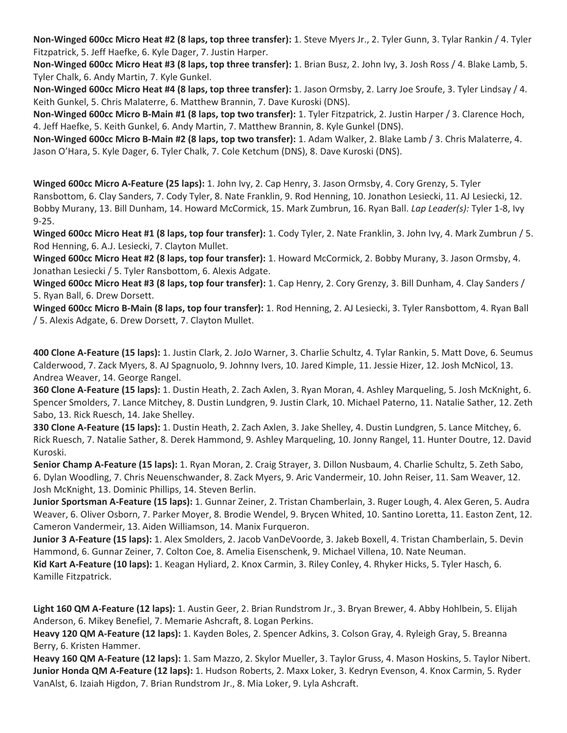**Non-Winged 600cc Micro Heat #2 (8 laps, top three transfer):** 1. Steve Myers Jr., 2. Tyler Gunn, 3. Tylar Rankin / 4. Tyler Fitzpatrick, 5. Jeff Haefke, 6. Kyle Dager, 7. Justin Harper.

**Non-Winged 600cc Micro Heat #3 (8 laps, top three transfer):** 1. Brian Busz, 2. John Ivy, 3. Josh Ross / 4. Blake Lamb, 5. Tyler Chalk, 6. Andy Martin, 7. Kyle Gunkel.

**Non-Winged 600cc Micro Heat #4 (8 laps, top three transfer):** 1. Jason Ormsby, 2. Larry Joe Sroufe, 3. Tyler Lindsay / 4. Keith Gunkel, 5. Chris Malaterre, 6. Matthew Brannin, 7. Dave Kuroski (DNS).

**Non-Winged 600cc Micro B-Main #1 (8 laps, top two transfer):** 1. Tyler Fitzpatrick, 2. Justin Harper / 3. Clarence Hoch, 4. Jeff Haefke, 5. Keith Gunkel, 6. Andy Martin, 7. Matthew Brannin, 8. Kyle Gunkel (DNS).

**Non-Winged 600cc Micro B-Main #2 (8 laps, top two transfer):** 1. Adam Walker, 2. Blake Lamb / 3. Chris Malaterre, 4. Jason O'Hara, 5. Kyle Dager, 6. Tyler Chalk, 7. Cole Ketchum (DNS), 8. Dave Kuroski (DNS).

**Winged 600cc Micro A-Feature (25 laps):** 1. John Ivy, 2. Cap Henry, 3. Jason Ormsby, 4. Cory Grenzy, 5. Tyler Ransbottom, 6. Clay Sanders, 7. Cody Tyler, 8. Nate Franklin, 9. Rod Henning, 10. Jonathon Lesiecki, 11. AJ Lesiecki, 12. Bobby Murany, 13. Bill Dunham, 14. Howard McCormick, 15. Mark Zumbrun, 16. Ryan Ball. *Lap Leader(s):* Tyler 1-8, Ivy 9-25.

**Winged 600cc Micro Heat #1 (8 laps, top four transfer):** 1. Cody Tyler, 2. Nate Franklin, 3. John Ivy, 4. Mark Zumbrun / 5. Rod Henning, 6. A.J. Lesiecki, 7. Clayton Mullet.

**Winged 600cc Micro Heat #2 (8 laps, top four transfer):** 1. Howard McCormick, 2. Bobby Murany, 3. Jason Ormsby, 4. Jonathan Lesiecki / 5. Tyler Ransbottom, 6. Alexis Adgate.

**Winged 600cc Micro Heat #3 (8 laps, top four transfer):** 1. Cap Henry, 2. Cory Grenzy, 3. Bill Dunham, 4. Clay Sanders / 5. Ryan Ball, 6. Drew Dorsett.

**Winged 600cc Micro B-Main (8 laps, top four transfer):** 1. Rod Henning, 2. AJ Lesiecki, 3. Tyler Ransbottom, 4. Ryan Ball / 5. Alexis Adgate, 6. Drew Dorsett, 7. Clayton Mullet.

**400 Clone A-Feature (15 laps):** 1. Justin Clark, 2. JoJo Warner, 3. Charlie Schultz, 4. Tylar Rankin, 5. Matt Dove, 6. Seumus Calderwood, 7. Zack Myers, 8. AJ Spagnuolo, 9. Johnny Ivers, 10. Jared Kimple, 11. Jessie Hizer, 12. Josh McNicol, 13. Andrea Weaver, 14. George Rangel.

**360 Clone A-Feature (15 laps):** 1. Dustin Heath, 2. Zach Axlen, 3. Ryan Moran, 4. Ashley Marqueling, 5. Josh McKnight, 6. Spencer Smolders, 7. Lance Mitchey, 8. Dustin Lundgren, 9. Justin Clark, 10. Michael Paterno, 11. Natalie Sather, 12. Zeth Sabo, 13. Rick Ruesch, 14. Jake Shelley.

**330 Clone A-Feature (15 laps):** 1. Dustin Heath, 2. Zach Axlen, 3. Jake Shelley, 4. Dustin Lundgren, 5. Lance Mitchey, 6. Rick Ruesch, 7. Natalie Sather, 8. Derek Hammond, 9. Ashley Marqueling, 10. Jonny Rangel, 11. Hunter Doutre, 12. David Kuroski.

**Senior Champ A-Feature (15 laps):** 1. Ryan Moran, 2. Craig Strayer, 3. Dillon Nusbaum, 4. Charlie Schultz, 5. Zeth Sabo, 6. Dylan Woodling, 7. Chris Neuenschwander, 8. Zack Myers, 9. Aric Vandermeir, 10. John Reiser, 11. Sam Weaver, 12. Josh McKnight, 13. Dominic Phillips, 14. Steven Berlin.

**Junior Sportsman A-Feature (15 laps):** 1. Gunnar Zeiner, 2. Tristan Chamberlain, 3. Ruger Lough, 4. Alex Geren, 5. Audra Weaver, 6. Oliver Osborn, 7. Parker Moyer, 8. Brodie Wendel, 9. Brycen Whited, 10. Santino Loretta, 11. Easton Zent, 12. Cameron Vandermeir, 13. Aiden Williamson, 14. Manix Furqueron.

**Junior 3 A-Feature (15 laps):** 1. Alex Smolders, 2. Jacob VanDeVoorde, 3. Jakeb Boxell, 4. Tristan Chamberlain, 5. Devin Hammond, 6. Gunnar Zeiner, 7. Colton Coe, 8. Amelia Eisenschenk, 9. Michael Villena, 10. Nate Neuman.

**Kid Kart A-Feature (10 laps):** 1. Keagan Hyliard, 2. Knox Carmin, 3. Riley Conley, 4. Rhyker Hicks, 5. Tyler Hasch, 6. Kamille Fitzpatrick.

**Light 160 QM A-Feature (12 laps):** 1. Austin Geer, 2. Brian Rundstrom Jr., 3. Bryan Brewer, 4. Abby Hohlbein, 5. Elijah Anderson, 6. Mikey Benefiel, 7. Memarie Ashcraft, 8. Logan Perkins.

**Heavy 120 QM A-Feature (12 laps):** 1. Kayden Boles, 2. Spencer Adkins, 3. Colson Gray, 4. Ryleigh Gray, 5. Breanna Berry, 6. Kristen Hammer.

**Heavy 160 QM A-Feature (12 laps):** 1. Sam Mazzo, 2. Skylor Mueller, 3. Taylor Gruss, 4. Mason Hoskins, 5. Taylor Nibert. **Junior Honda QM A-Feature (12 laps):** 1. Hudson Roberts, 2. Maxx Loker, 3. Kedryn Evenson, 4. Knox Carmin, 5. Ryder VanAlst, 6. Izaiah Higdon, 7. Brian Rundstrom Jr., 8. Mia Loker, 9. Lyla Ashcraft.